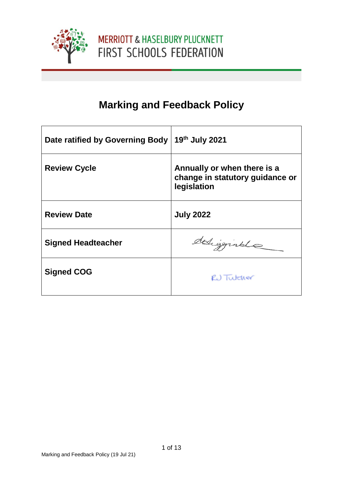

# **Marking and Feedback Policy**

| Date ratified by Governing Body | 19th July 2021                                                                |
|---------------------------------|-------------------------------------------------------------------------------|
| <b>Review Cycle</b>             | Annually or when there is a<br>change in statutory guidance or<br>legislation |
| <b>Review Date</b>              | <b>July 2022</b>                                                              |
| <b>Signed Headteacher</b>       | deligginale                                                                   |
| <b>Signed COG</b>               | RU Tutcher                                                                    |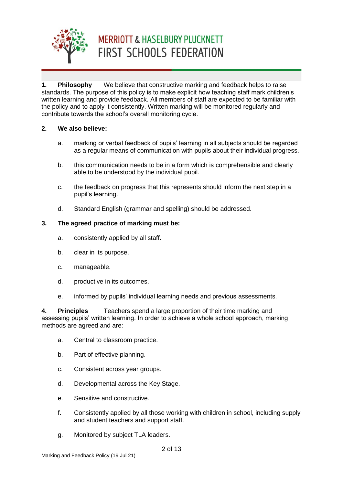

**1. Philosophy** We believe that constructive marking and feedback helps to raise standards. The purpose of this policy is to make explicit how teaching staff mark children's written learning and provide feedback. All members of staff are expected to be familiar with the policy and to apply it consistently. Written marking will be monitored regularly and contribute towards the school's overall monitoring cycle.

### **2. We also believe:**

- a. marking or verbal feedback of pupils' learning in all subjects should be regarded as a regular means of communication with pupils about their individual progress.
- b. this communication needs to be in a form which is comprehensible and clearly able to be understood by the individual pupil.
- c. the feedback on progress that this represents should inform the next step in a pupil's learning.
- d. Standard English (grammar and spelling) should be addressed.

### **3. The agreed practice of marking must be:**

- a. consistently applied by all staff.
- b. clear in its purpose.
- c. manageable.
- d. productive in its outcomes.
- e. informed by pupils' individual learning needs and previous assessments.

**4. Principles** Teachers spend a large proportion of their time marking and assessing pupils' written learning. In order to achieve a whole school approach, marking methods are agreed and are:

- a. Central to classroom practice.
- b. Part of effective planning.
- c. Consistent across year groups.
- d. Developmental across the Key Stage.
- e. Sensitive and constructive.
- f. Consistently applied by all those working with children in school, including supply and student teachers and support staff.
- g. Monitored by subject TLA leaders.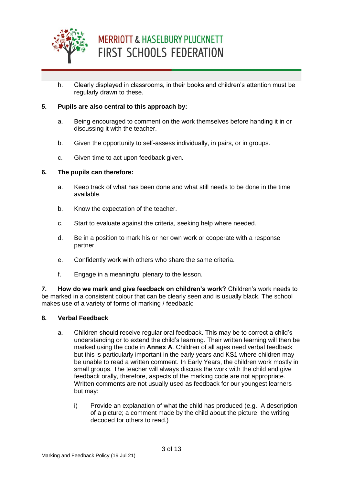

h. Clearly displayed in classrooms, in their books and children's attention must be regularly drawn to these.

### **5. Pupils are also central to this approach by:**

- a. Being encouraged to comment on the work themselves before handing it in or discussing it with the teacher.
- b. Given the opportunity to self-assess individually, in pairs, or in groups.
- c. Given time to act upon feedback given.

#### **6. The pupils can therefore:**

- a. Keep track of what has been done and what still needs to be done in the time available.
- b. Know the expectation of the teacher.
- c. Start to evaluate against the criteria, seeking help where needed.
- d. Be in a position to mark his or her own work or cooperate with a response partner.
- e. Confidently work with others who share the same criteria.
- f. Engage in a meaningful plenary to the lesson.

**7. How do we mark and give feedback on children's work?** Children's work needs to be marked in a consistent colour that can be clearly seen and is usually black. The school makes use of a variety of forms of marking / feedback:

#### **8. Verbal Feedback**

- a. Children should receive regular oral feedback. This may be to correct a child's understanding or to extend the child's learning. Their written learning will then be marked using the code in **Annex A**. Children of all ages need verbal feedback but this is particularly important in the early years and KS1 where children may be unable to read a written comment. In Early Years, the children work mostly in small groups. The teacher will always discuss the work with the child and give feedback orally, therefore, aspects of the marking code are not appropriate. Written comments are not usually used as feedback for our youngest learners but may:
	- i) Provide an explanation of what the child has produced (e.g., A description of a picture; a comment made by the child about the picture; the writing decoded for others to read.)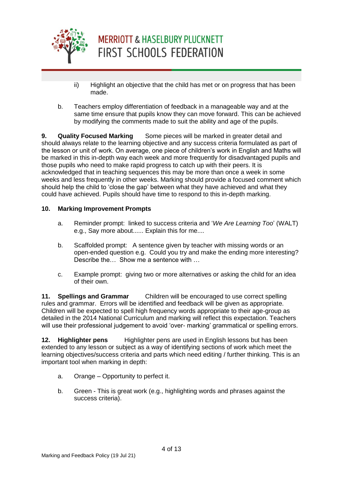

- ii) Highlight an objective that the child has met or on progress that has been made.
- b. Teachers employ differentiation of feedback in a manageable way and at the same time ensure that pupils know they can move forward. This can be achieved by modifying the comments made to suit the ability and age of the pupils.

**9. Quality Focused Marking** Some pieces will be marked in greater detail and should always relate to the learning objective and any success criteria formulated as part of the lesson or unit of work. On average, one piece of children's work in English and Maths will be marked in this in-depth way each week and more frequently for disadvantaged pupils and those pupils who need to make rapid progress to catch up with their peers. It is acknowledged that in teaching sequences this may be more than once a week in some weeks and less frequently in other weeks. Marking should provide a focused comment which should help the child to 'close the gap' between what they have achieved and what they could have achieved. Pupils should have time to respond to this in-depth marking.

### **10. Marking Improvement Prompts**

- a. Reminder prompt: linked to success criteria and '*We Are Learning Too*' (WALT) e.g., Say more about...... Explain this for me....
- b. Scaffolded prompt: A sentence given by teacher with missing words or an open-ended question e.g. Could you try and make the ending more interesting? Describe the… Show me a sentence with …
- c. Example prompt: giving two or more alternatives or asking the child for an idea of their own.

**11. Spellings and Grammar** Children will be encouraged to use correct spelling rules and grammar. Errors will be identified and feedback will be given as appropriate. Children will be expected to spell high frequency words appropriate to their age-group as detailed in the 2014 National Curriculum and marking will reflect this expectation. Teachers will use their professional judgement to avoid 'over- marking' grammatical or spelling errors.

**12. Highlighter pens** Highlighter pens are used in English lessons but has been extended to any lesson or subject as a way of identifying sections of work which meet the learning objectives/success criteria and parts which need editing / further thinking. This is an important tool when marking in depth:

- a. Orange Opportunity to perfect it.
- b. Green This is great work (e.g., highlighting words and phrases against the success criteria).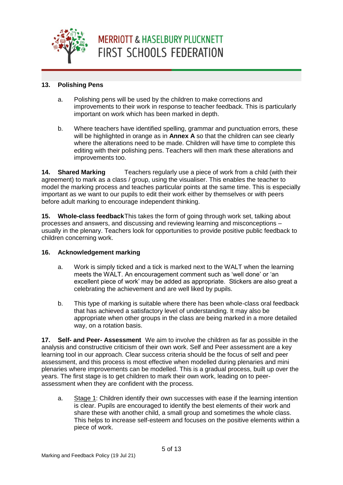

## **13. Polishing Pens**

- a. Polishing pens will be used by the children to make corrections and improvements to their work in response to teacher feedback. This is particularly important on work which has been marked in depth.
- b. Where teachers have identified spelling, grammar and punctuation errors, these will be highlighted in orange as in **Annex A** so that the children can see clearly where the alterations need to be made. Children will have time to complete this editing with their polishing pens. Teachers will then mark these alterations and improvements too.

**14. Shared Marking** Teachers regularly use a piece of work from a child (with their agreement) to mark as a class / group, using the visualiser. This enables the teacher to model the marking process and teaches particular points at the same time. This is especially important as we want to our pupils to edit their work either by themselves or with peers before adult marking to encourage independent thinking.

**15. Whole-class feedback**This takes the form of going through work set, talking about processes and answers, and discussing and reviewing learning and misconceptions – usually in the plenary. Teachers look for opportunities to provide positive public feedback to children concerning work.

### **16. Acknowledgement marking**

- a. Work is simply ticked and a tick is marked next to the WALT when the learning meets the WALT. An encouragement comment such as 'well done' or 'an excellent piece of work' may be added as appropriate. Stickers are also great a celebrating the achievement and are well liked by pupils.
- b. This type of marking is suitable where there has been whole-class oral feedback that has achieved a satisfactory level of understanding. It may also be appropriate when other groups in the class are being marked in a more detailed way, on a rotation basis.

**17. Self- and Peer- Assessment** We aim to involve the children as far as possible in the analysis and constructive criticism of their own work. Self and Peer assessment are a key learning tool in our approach. Clear success criteria should be the focus of self and peer assessment, and this process is most effective when modelled during plenaries and mini plenaries where improvements can be modelled. This is a gradual process, built up over the years. The first stage is to get children to mark their own work, leading on to peerassessment when they are confident with the process.

a. Stage 1: Children identify their own successes with ease if the learning intention is clear. Pupils are encouraged to identify the best elements of their work and share these with another child, a small group and sometimes the whole class. This helps to increase self-esteem and focuses on the positive elements within a piece of work.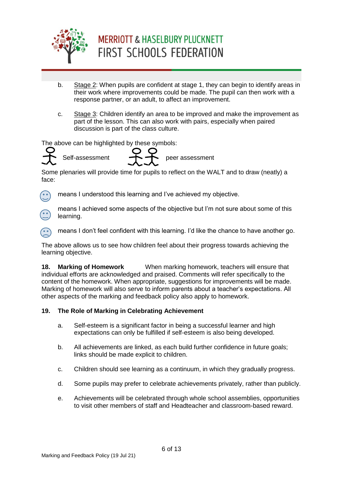

- b. Stage 2: When pupils are confident at stage 1, they can begin to identify areas in their work where improvements could be made. The pupil can then work with a response partner, or an adult, to affect an improvement.
- c. Stage 3: Children identify an area to be improved and make the improvement as part of the lesson. This can also work with pairs, especially when paired discussion is part of the class culture.

The above can be highlighted by these symbols:



Some plenaries will provide time for pupils to reflect on the WALT and to draw (neatly) a face:



means I understood this learning and I've achieved my objective.



means I achieved some aspects of the objective but I'm not sure about some of this learning.

means I don't feel confident with this learning. I'd like the chance to have another go.

The above allows us to see how children feel about their progress towards achieving the learning objective.

**18. Marking of Homework** When marking homework, teachers will ensure that individual efforts are acknowledged and praised. Comments will refer specifically to the content of the homework. When appropriate, suggestions for improvements will be made. Marking of homework will also serve to inform parents about a teacher's expectations. All other aspects of the marking and feedback policy also apply to homework.

### **19. The Role of Marking in Celebrating Achievement**

- a. Self-esteem is a significant factor in being a successful learner and high expectations can only be fulfilled if self-esteem is also being developed.
- b. All achievements are linked, as each build further confidence in future goals; links should be made explicit to children.
- c. Children should see learning as a continuum, in which they gradually progress.
- d. Some pupils may prefer to celebrate achievements privately, rather than publicly.
- e. Achievements will be celebrated through whole school assemblies, opportunities to visit other members of staff and Headteacher and classroom-based reward.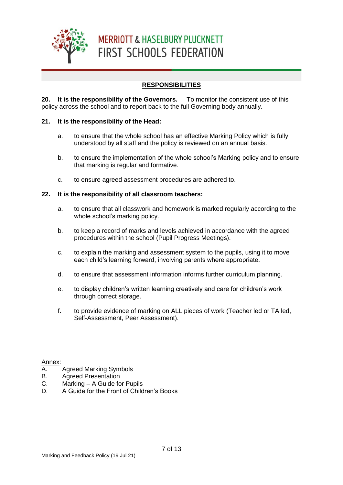

## **RESPONSIBILITIES**

**20. It is the responsibility of the Governors.** To monitor the consistent use of this policy across the school and to report back to the full Governing body annually.

### **21. It is the responsibility of the Head:**

- a. to ensure that the whole school has an effective Marking Policy which is fully understood by all staff and the policy is reviewed on an annual basis.
- b. to ensure the implementation of the whole school's Marking policy and to ensure that marking is regular and formative.
- c. to ensure agreed assessment procedures are adhered to.

### **22. It is the responsibility of all classroom teachers:**

- a. to ensure that all classwork and homework is marked regularly according to the whole school's marking policy.
- b. to keep a record of marks and levels achieved in accordance with the agreed procedures within the school (Pupil Progress Meetings).
- c. to explain the marking and assessment system to the pupils, using it to move each child's learning forward, involving parents where appropriate.
- d. to ensure that assessment information informs further curriculum planning.
- e. to display children's written learning creatively and care for children's work through correct storage.
- f. to provide evidence of marking on ALL pieces of work (Teacher led or TA led, Self-Assessment, Peer Assessment).

Annex:

- A. Agreed Marking Symbols
- B. Agreed Presentation
- C. Marking A Guide for Pupils
- D. A Guide for the Front of Children's Books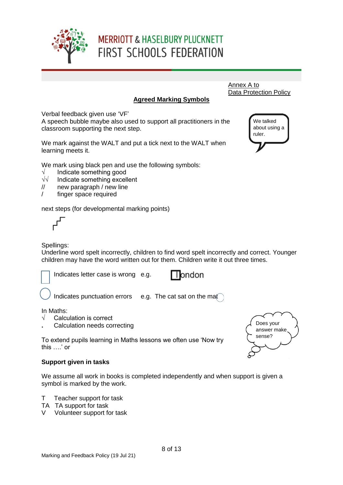

#### Annex A to Data Protection Policy

We talked about using a

ruler.

## **Agreed Marking Symbols**

Verbal feedback given use 'VF'

A speech bubble maybe also used to support all practitioners in the classroom supporting the next step.

We mark against the WALT and put a tick next to the WALT when learning meets it.

We mark using black pen and use the following symbols:

- 
- $√$  Indicate something good<br> $√√$  Indicate something excell Indicate something excellent
- // new paragraph / new line
- / finger space required

next steps (for developmental marking points)



## Spellings:

Underline word spelt incorrectly, children to find word spelt incorrectly and correct. Younger children may have the word written out for them. Children write it out three times.

Indicates letter case is wrong e.g.



Indicates punctuation errors e.g. The cat sat on the mat

## In Maths:

Ļ ł

- $\sqrt{\phantom{a}}$  Calculation is correct
- **.** Calculation needs correcting

To extend pupils learning in Maths lessons we often use 'Now try this ….' or

## **Support given in tasks**

We assume all work in books is completed independently and when support is given a symbol is marked by the work.

- T Teacher support for task
- TA TA support for task
- V Volunteer support for task

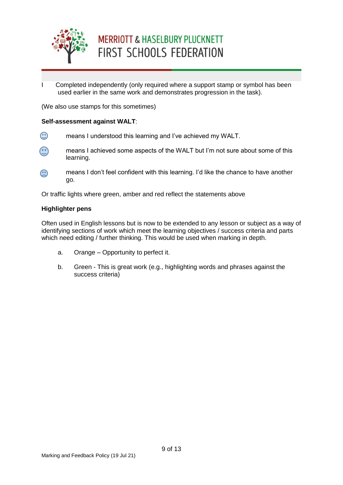

I Completed independently (only required where a support stamp or symbol has been used earlier in the same work and demonstrates progression in the task).

(We also use stamps for this sometimes)

#### **Self-assessment against WALT**:

- $\bigodot$ means I understood this learning and I've achieved my WALT.
- $\odot$ means I achieved some aspects of the WALT but I'm not sure about some of this learning.
- $\odot$ means I don't feel confident with this learning. I'd like the chance to have another go.

Or traffic lights where green, amber and red reflect the statements above

#### **Highlighter pens**

Often used in English lessons but is now to be extended to any lesson or subject as a way of identifying sections of work which meet the learning objectives / success criteria and parts which need editing / further thinking. This would be used when marking in depth.

- a. Orange Opportunity to perfect it.
- b. Green This is great work (e.g., highlighting words and phrases against the success criteria)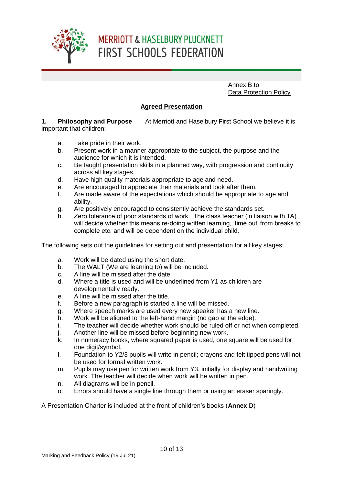

Annex B to Data Protection Policy

### **Agreed Presentation**

**1. Philosophy and Purpose** At Merriott and Haselbury First School we believe it is important that children:

- a. Take pride in their work.
- b. Present work in a manner appropriate to the subject, the purpose and the audience for which it is intended.
- c. Be taught presentation skills in a planned way, with progression and continuity across all key stages.
- d. Have high quality materials appropriate to age and need.
- e. Are encouraged to appreciate their materials and look after them.
- f. Are made aware of the expectations which should be appropriate to age and ability.
- g. Are positively encouraged to consistently achieve the standards set.
- h. Zero tolerance of poor standards of work. The class teacher (in liaison with TA) will decide whether this means re-doing written learning, 'time out' from breaks to complete etc. and will be dependent on the individual child.

The following sets out the guidelines for setting out and presentation for all key stages:

- a. Work will be dated using the short date.
- b. The WALT (We are learning to) will be included.
- c. A line will be missed after the date.
- d. Where a title is used and will be underlined from Y1 as children are developmentally ready.
- e. A line will be missed after the title.
- f. Before a new paragraph is started a line will be missed.
- g. Where speech marks are used every new speaker has a new line.
- h. Work will be aligned to the left-hand margin (no gap at the edge).
- i. The teacher will decide whether work should be ruled off or not when completed.
- j. Another line will be missed before beginning new work.
- k. In numeracy books, where squared paper is used, one square will be used for one digit/symbol.
- l. Foundation to Y2/3 pupils will write in pencil; crayons and felt tipped pens will not be used for formal written work.
- m. Pupils may use pen for written work from Y3, initially for display and handwriting work. The teacher will decide when work will be written in pen.
- n. All diagrams will be in pencil.
- o. Errors should have a single line through them or using an eraser sparingly.

A Presentation Charter is included at the front of children's books (**Annex D**)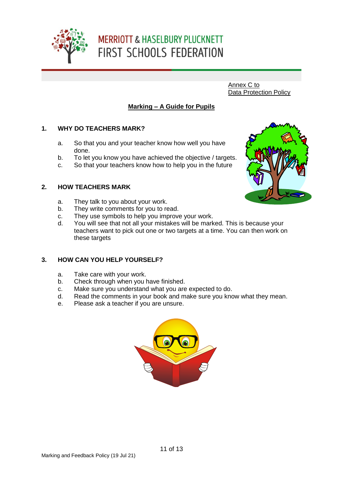

Annex C to Data Protection Policy

## **Marking – A Guide for Pupils**

### **1. WHY DO TEACHERS MARK?**

- a. So that you and your teacher know how well you have done.
- b. To let you know you have achieved the objective / targets.
- c. So that your teachers know how to help you in the future

### **2. HOW TEACHERS MARK**

- a. They talk to you about your work.
- b. They write comments for you to read.
- c. They use symbols to help you improve your work.
- d. You will see that not all your mistakes will be marked. This is because your teachers want to pick out one or two targets at a time. You can then work on these targets

### **3. HOW CAN YOU HELP YOURSELF?**

- a. Take care with your work.
- b. Check through when you have finished.
- c. Make sure you understand what you are expected to do.
- d. Read the comments in your book and make sure you know what they mean.
- e. Please ask a teacher if you are unsure.



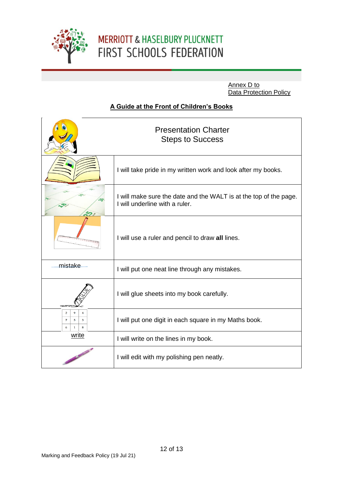

Annex D to Data Protection Policy

## **A Guide at the Front of Children's Books**

|                                                                                            | <b>Presentation Charter</b><br><b>Steps to Success</b>                                              |
|--------------------------------------------------------------------------------------------|-----------------------------------------------------------------------------------------------------|
|                                                                                            | I will take pride in my written work and look after my books.                                       |
|                                                                                            | I will make sure the date and the WALT is at the top of the page.<br>I will underline with a ruler. |
|                                                                                            | I will use a ruler and pencil to draw all lines.                                                    |
| mistake                                                                                    | I will put one neat line through any mistakes.                                                      |
|                                                                                            | I will glue sheets into my book carefully.                                                          |
| $\overline{2}$<br>9<br>$\overline{\bf 4}$<br>$\overline{z}$<br>3<br>5<br>6<br>$\mathbf{1}$ | I will put one digit in each square in my Maths book.                                               |
| write                                                                                      | I will write on the lines in my book.                                                               |
|                                                                                            | I will edit with my polishing pen neatly.                                                           |